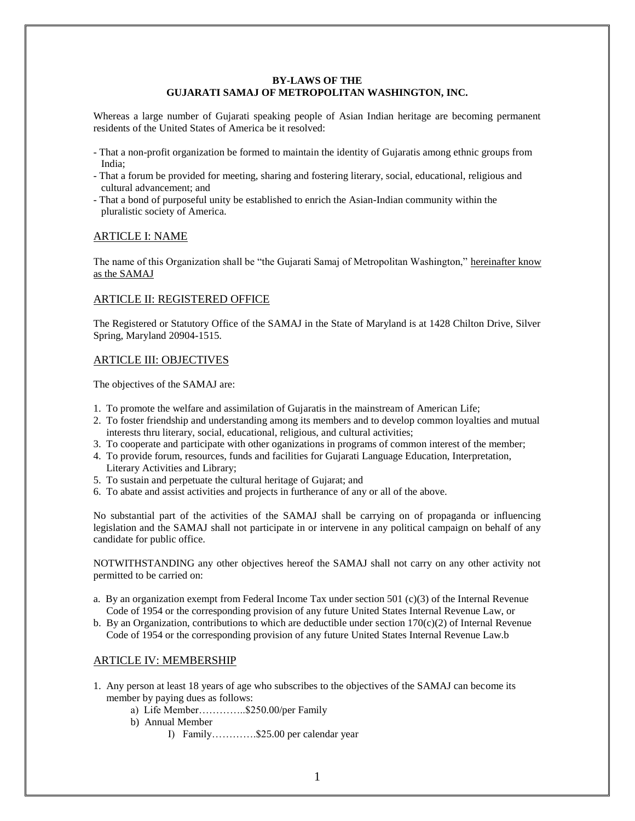#### **BY-LAWS OF THE GUJARATI SAMAJ OF METROPOLITAN WASHINGTON, INC.**

Whereas a large number of Gujarati speaking people of Asian Indian heritage are becoming permanent residents of the United States of America be it resolved:

- That a non-profit organization be formed to maintain the identity of Gujaratis among ethnic groups from India;
- That a forum be provided for meeting, sharing and fostering literary, social, educational, religious and cultural advancement; and
- That a bond of purposeful unity be established to enrich the Asian-Indian community within the pluralistic society of America.

#### ARTICLE I: NAME

The name of this Organization shall be "the Gujarati Samaj of Metropolitan Washington," hereinafter know as the SAMAJ

### ARTICLE II: REGISTERED OFFICE

The Registered or Statutory Office of the SAMAJ in the State of Maryland is at 1428 Chilton Drive, Silver Spring, Maryland 20904-1515.

#### ARTICLE III: OBJECTIVES

The objectives of the SAMAJ are:

- 1. To promote the welfare and assimilation of Gujaratis in the mainstream of American Life;
- 2. To foster friendship and understanding among its members and to develop common loyalties and mutual interests thru literary, social, educational, religious, and cultural activities;
- 3. To cooperate and participate with other oganizations in programs of common interest of the member;
- 4. To provide forum, resources, funds and facilities for Gujarati Language Education, Interpretation, Literary Activities and Library;
- 5. To sustain and perpetuate the cultural heritage of Gujarat; and
- 6. To abate and assist activities and projects in furtherance of any or all of the above.

No substantial part of the activities of the SAMAJ shall be carrying on of propaganda or influencing legislation and the SAMAJ shall not participate in or intervene in any political campaign on behalf of any candidate for public office.

NOTWITHSTANDING any other objectives hereof the SAMAJ shall not carry on any other activity not permitted to be carried on:

- a. By an organization exempt from Federal Income Tax under section 501 (c)(3) of the Internal Revenue Code of 1954 or the corresponding provision of any future United States Internal Revenue Law, or
- b. By an Organization, contributions to which are deductible under section  $170(c)(2)$  of Internal Revenue Code of 1954 or the corresponding provision of any future United States Internal Revenue Law.b

### ARTICLE IV: MEMBERSHIP

- 1. Any person at least 18 years of age who subscribes to the objectives of the SAMAJ can become its member by paying dues as follows:
	- a) Life Member…………..\$250.00/per Family
	- b) Annual Member
		- I) Family………….\$25.00 per calendar year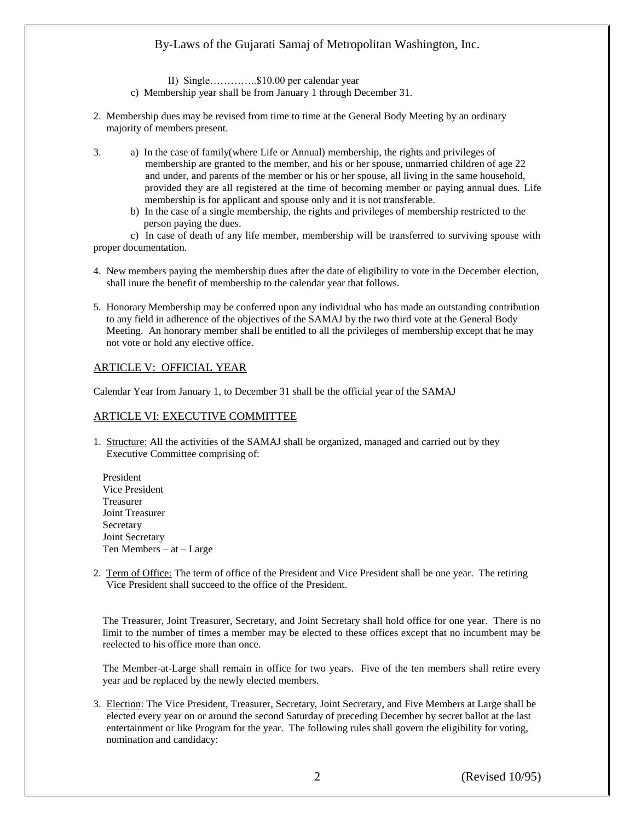II) Single…………..\$10.00 per calendar year

- c) Membership year shall be from January 1 through December 31.
- 2. Membership dues may be revised from time to time at the General Body Meeting by an ordinary majority of members present.
- 3. a) In the case of family(where Life or Annual) membership, the rights and privileges of membership are granted to the member, and his or her spouse, unmarried children of age 22 and under, and parents of the member or his or her spouse, all living in the same household, provided they are all registered at the time of becoming member or paying annual dues. Life membership is for applicant and spouse only and it is not transferable.
	- b) In the case of a single membership, the rights and privileges of membership restricted to the person paying the dues.

c) In case of death of any life member, membership will be transferred to surviving spouse with proper documentation.

- 4. New members paying the membership dues after the date of eligibility to vote in the December election, shall inure the benefit of membership to the calendar year that follows.
- 5. Honorary Membership may be conferred upon any individual who has made an outstanding contribution to any field in adherence of the objectives of the SAMAJ by the two third vote at the General Body Meeting. An honorary member shall be entitled to all the privileges of membership except that he may not vote or hold any elective office.

# ARTICLE V: OFFICIAL YEAR

Calendar Year from January 1, to December 31 shall be the official year of the SAMAJ

# ARTICLE VI: EXECUTIVE COMMITTEE

1. Structure: All the activities of the SAMAJ shall be organized, managed and carried out by they Executive Committee comprising of:

President Vice President Treasurer Joint Treasurer Secretary Joint Secretary Ten Members – at – Large

2. Term of Office: The term of office of the President and Vice President shall be one year. The retiring Vice President shall succeed to the office of the President.

The Treasurer, Joint Treasurer, Secretary, and Joint Secretary shall hold office for one year. There is no limit to the number of times a member may be elected to these offices except that no incumbent may be reelected to his office more than once.

The Member-at-Large shall remain in office for two years. Five of the ten members shall retire every year and be replaced by the newly elected members.

3. Election: The Vice President, Treasurer, Secretary, Joint Secretary, and Five Members at Large shall be elected every year on or around the second Saturday of preceding December by secret ballot at the last entertainment or like Program for the year. The following rules shall govern the eligibility for voting, nomination and candidacy: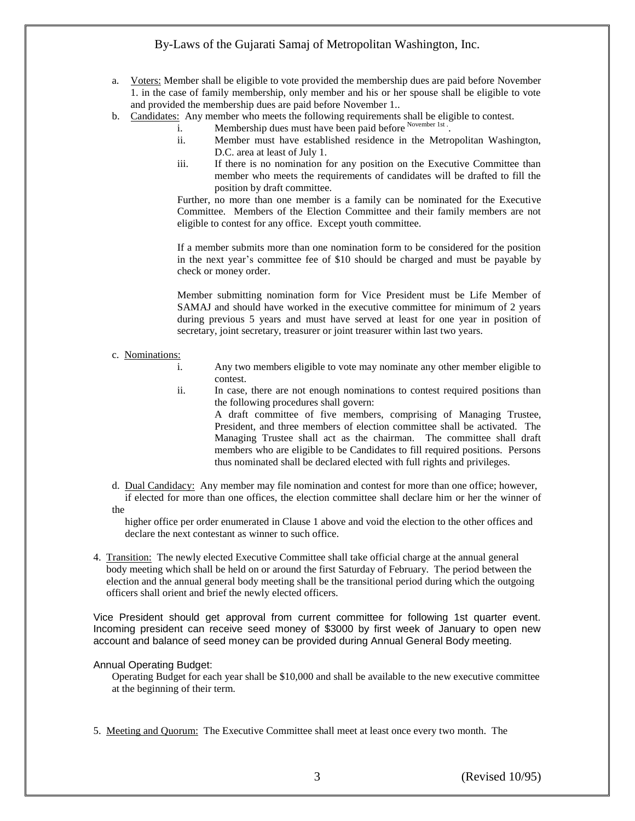- a. Voters: Member shall be eligible to vote provided the membership dues are paid before November 1. in the case of family membership, only member and his or her spouse shall be eligible to vote and provided the membership dues are paid before November 1..
- b. Candidates: Any member who meets the following requirements shall be eligible to contest.
	- i. Membership dues must have been paid before November 1st.
		- ii. Member must have established residence in the Metropolitan Washington, D.C. area at least of July 1.
		- iii. If there is no nomination for any position on the Executive Committee than member who meets the requirements of candidates will be drafted to fill the position by draft committee.

Further, no more than one member is a family can be nominated for the Executive Committee. Members of the Election Committee and their family members are not eligible to contest for any office. Except youth committee.

If a member submits more than one nomination form to be considered for the position in the next year's committee fee of \$10 should be charged and must be payable by check or money order.

Member submitting nomination form for Vice President must be Life Member of SAMAJ and should have worked in the executive committee for minimum of 2 years during previous 5 years and must have served at least for one year in position of secretary, joint secretary, treasurer or joint treasurer within last two years.

#### c. Nominations:

- i. Any two members eligible to vote may nominate any other member eligible to contest.
- ii. In case, there are not enough nominations to contest required positions than the following procedures shall govern:

A draft committee of five members, comprising of Managing Trustee, President, and three members of election committee shall be activated. The Managing Trustee shall act as the chairman. The committee shall draft members who are eligible to be Candidates to fill required positions. Persons thus nominated shall be declared elected with full rights and privileges.

- d. Dual Candidacy: Any member may file nomination and contest for more than one office; however,
- if elected for more than one offices, the election committee shall declare him or her the winner of the

higher office per order enumerated in Clause 1 above and void the election to the other offices and declare the next contestant as winner to such office.

4. Transition: The newly elected Executive Committee shall take official charge at the annual general body meeting which shall be held on or around the first Saturday of February. The period between the election and the annual general body meeting shall be the transitional period during which the outgoing officers shall orient and brief the newly elected officers.

Vice President should get approval from current committee for following 1st quarter event. Incoming president can receive seed money of \$3000 by first week of January to open new account and balance of seed money can be provided during Annual General Body meeting.

### Annual Operating Budget:

Operating Budget for each year shall be \$10,000 and shall be available to the new executive committee at the beginning of their term.

5. Meeting and Quorum: The Executive Committee shall meet at least once every two month. The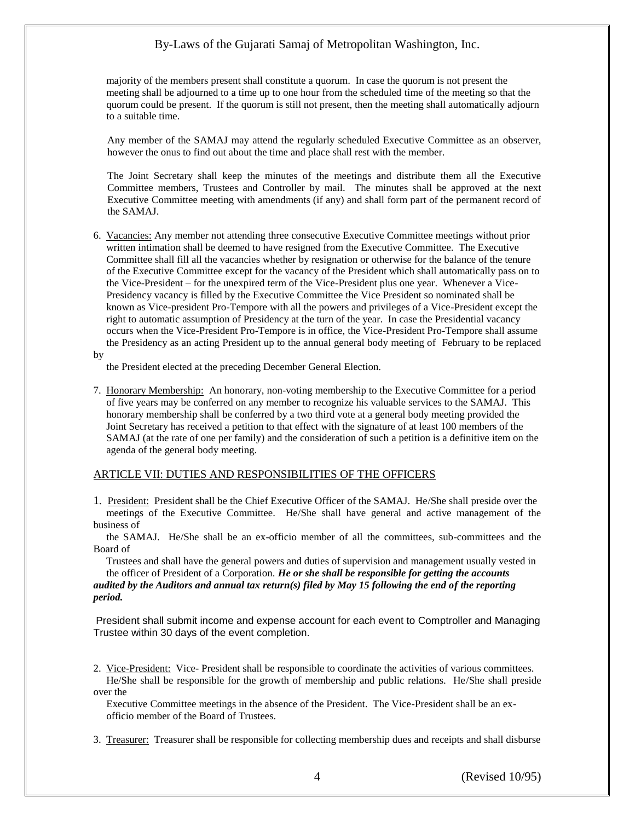majority of the members present shall constitute a quorum. In case the quorum is not present the meeting shall be adjourned to a time up to one hour from the scheduled time of the meeting so that the quorum could be present. If the quorum is still not present, then the meeting shall automatically adjourn to a suitable time.

Any member of the SAMAJ may attend the regularly scheduled Executive Committee as an observer, however the onus to find out about the time and place shall rest with the member.

The Joint Secretary shall keep the minutes of the meetings and distribute them all the Executive Committee members, Trustees and Controller by mail. The minutes shall be approved at the next Executive Committee meeting with amendments (if any) and shall form part of the permanent record of the SAMAJ.

6. Vacancies: Any member not attending three consecutive Executive Committee meetings without prior written intimation shall be deemed to have resigned from the Executive Committee. The Executive Committee shall fill all the vacancies whether by resignation or otherwise for the balance of the tenure of the Executive Committee except for the vacancy of the President which shall automatically pass on to the Vice-President – for the unexpired term of the Vice-President plus one year. Whenever a Vice- Presidency vacancy is filled by the Executive Committee the Vice President so nominated shall be known as Vice-president Pro-Tempore with all the powers and privileges of a Vice-President except the right to automatic assumption of Presidency at the turn of the year. In case the Presidential vacancy occurs when the Vice-President Pro-Tempore is in office, the Vice-President Pro-Tempore shall assume the Presidency as an acting President up to the annual general body meeting of February to be replaced

by

the President elected at the preceding December General Election.

7. Honorary Membership: An honorary, non-voting membership to the Executive Committee for a period of five years may be conferred on any member to recognize his valuable services to the SAMAJ. This honorary membership shall be conferred by a two third vote at a general body meeting provided the Joint Secretary has received a petition to that effect with the signature of at least 100 members of the SAMAJ (at the rate of one per family) and the consideration of such a petition is a definitive item on the agenda of the general body meeting.

### ARTICLE VII: DUTIES AND RESPONSIBILITIES OF THE OFFICERS

1. President: President shall be the Chief Executive Officer of the SAMAJ. He/She shall preside over the meetings of the Executive Committee. He/She shall have general and active management of the business of

 the SAMAJ. He/She shall be an ex-officio member of all the committees, sub-committees and the Board of

 Trustees and shall have the general powers and duties of supervision and management usually vested in the officer of President of a Corporation. *He or she shall be responsible for getting the accounts audited by the Auditors and annual tax return(s) filed by May 15 following the end of the reporting* 

*period.*

President shall submit income and expense account for each event to Comptroller and Managing Trustee within 30 days of the event completion.

 Executive Committee meetings in the absence of the President. The Vice-President shall be an ex officio member of the Board of Trustees.

3. Treasurer: Treasurer shall be responsible for collecting membership dues and receipts and shall disburse

<sup>2.</sup> Vice-President: Vice- President shall be responsible to coordinate the activities of various committees. He/She shall be responsible for the growth of membership and public relations. He/She shall preside over the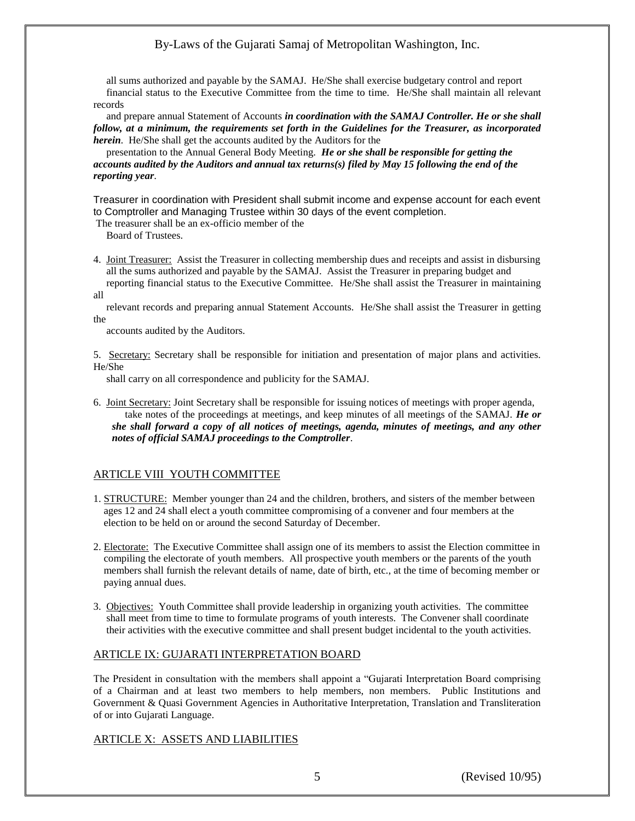all sums authorized and payable by the SAMAJ. He/She shall exercise budgetary control and report financial status to the Executive Committee from the time to time. He/She shall maintain all relevant records

 and prepare annual Statement of Accounts *in coordination with the SAMAJ Controller. He or she shall follow, at a minimum, the requirements set forth in the Guidelines for the Treasurer, as incorporated herein*. He/She shall get the accounts audited by the Auditors for the

 presentation to the Annual General Body Meeting. *He or she shall be responsible for getting the accounts audited by the Auditors and annual tax returns(s) filed by May 15 following the end of the reporting year*.

Treasurer in coordination with President shall submit income and expense account for each event to Comptroller and Managing Trustee within 30 days of the event completion.

The treasurer shall be an ex-officio member of the

Board of Trustees.

4. Joint Treasurer: Assist the Treasurer in collecting membership dues and receipts and assist in disbursing all the sums authorized and payable by the SAMAJ. Assist the Treasurer in preparing budget and reporting financial status to the Executive Committee. He/She shall assist the Treasurer in maintaining all

 relevant records and preparing annual Statement Accounts. He/She shall assist the Treasurer in getting the

accounts audited by the Auditors.

5. Secretary: Secretary shall be responsible for initiation and presentation of major plans and activities. He/She

shall carry on all correspondence and publicity for the SAMAJ.

6. Joint Secretary: Joint Secretary shall be responsible for issuing notices of meetings with proper agenda, take notes of the proceedings at meetings, and keep minutes of all meetings of the SAMAJ. *He or she shall forward a copy of all notices of meetings, agenda, minutes of meetings, and any other notes of official SAMAJ proceedings to the Comptroller*.

# ARTICLE VIII YOUTH COMMITTEE

- 1. STRUCTURE: Member younger than 24 and the children, brothers, and sisters of the member between ages 12 and 24 shall elect a youth committee compromising of a convener and four members at the election to be held on or around the second Saturday of December.
- 2. Electorate: The Executive Committee shall assign one of its members to assist the Election committee in compiling the electorate of youth members. All prospective youth members or the parents of the youth members shall furnish the relevant details of name, date of birth, etc., at the time of becoming member or paying annual dues.
- 3. Objectives: Youth Committee shall provide leadership in organizing youth activities. The committee shall meet from time to time to formulate programs of youth interests. The Convener shall coordinate their activities with the executive committee and shall present budget incidental to the youth activities.

# ARTICLE IX: GUJARATI INTERPRETATION BOARD

The President in consultation with the members shall appoint a "Gujarati Interpretation Board comprising of a Chairman and at least two members to help members, non members. Public Institutions and Government & Quasi Government Agencies in Authoritative Interpretation, Translation and Transliteration of or into Gujarati Language.

# ARTICLE X: ASSETS AND LIABILITIES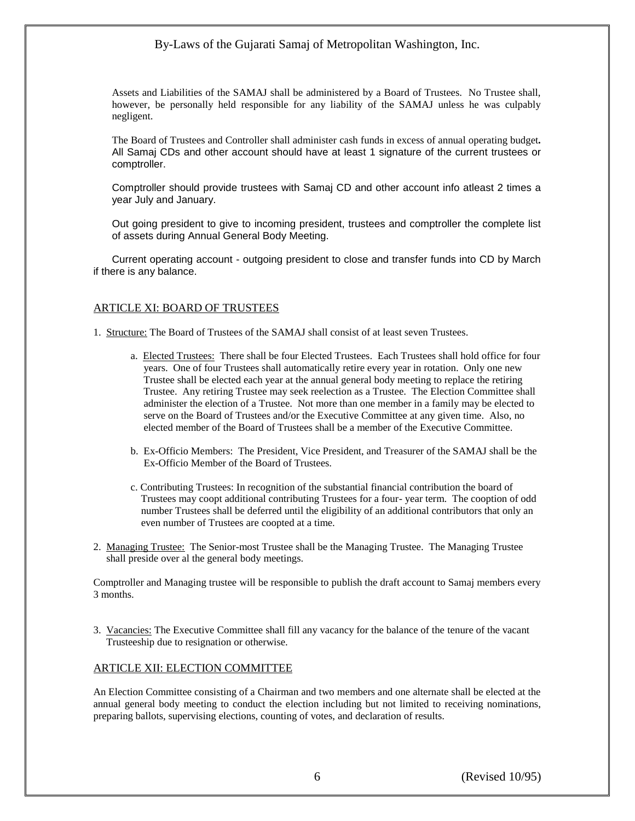Assets and Liabilities of the SAMAJ shall be administered by a Board of Trustees. No Trustee shall, however, be personally held responsible for any liability of the SAMAJ unless he was culpably negligent.

The Board of Trustees and Controller shall administer cash funds in excess of annual operating budget*.* All Samaj CDs and other account should have at least 1 signature of the current trustees or comptroller.

Comptroller should provide trustees with Samaj CD and other account info atleast 2 times a year July and January.

Out going president to give to incoming president, trustees and comptroller the complete list of assets during Annual General Body Meeting.

Current operating account - outgoing president to close and transfer funds into CD by March if there is any balance.

### ARTICLE XI: BOARD OF TRUSTEES

1. Structure: The Board of Trustees of the SAMAJ shall consist of at least seven Trustees.

- a. Elected Trustees: There shall be four Elected Trustees. Each Trustees shall hold office for four years. One of four Trustees shall automatically retire every year in rotation. Only one new Trustee shall be elected each year at the annual general body meeting to replace the retiring Trustee. Any retiring Trustee may seek reelection as a Trustee. The Election Committee shall administer the election of a Trustee. Not more than one member in a family may be elected to serve on the Board of Trustees and/or the Executive Committee at any given time. Also, no elected member of the Board of Trustees shall be a member of the Executive Committee.
- b. Ex-Officio Members: The President, Vice President, and Treasurer of the SAMAJ shall be the Ex-Officio Member of the Board of Trustees.
- c. Contributing Trustees: In recognition of the substantial financial contribution the board of Trustees may coopt additional contributing Trustees for a four- year term. The cooption of odd number Trustees shall be deferred until the eligibility of an additional contributors that only an even number of Trustees are coopted at a time.
- 2. Managing Trustee: The Senior-most Trustee shall be the Managing Trustee. The Managing Trustee shall preside over al the general body meetings.

Comptroller and Managing trustee will be responsible to publish the draft account to Samaj members every 3 months.

3. Vacancies: The Executive Committee shall fill any vacancy for the balance of the tenure of the vacant Trusteeship due to resignation or otherwise.

### ARTICLE XII: ELECTION COMMITTEE

An Election Committee consisting of a Chairman and two members and one alternate shall be elected at the annual general body meeting to conduct the election including but not limited to receiving nominations, preparing ballots, supervising elections, counting of votes, and declaration of results.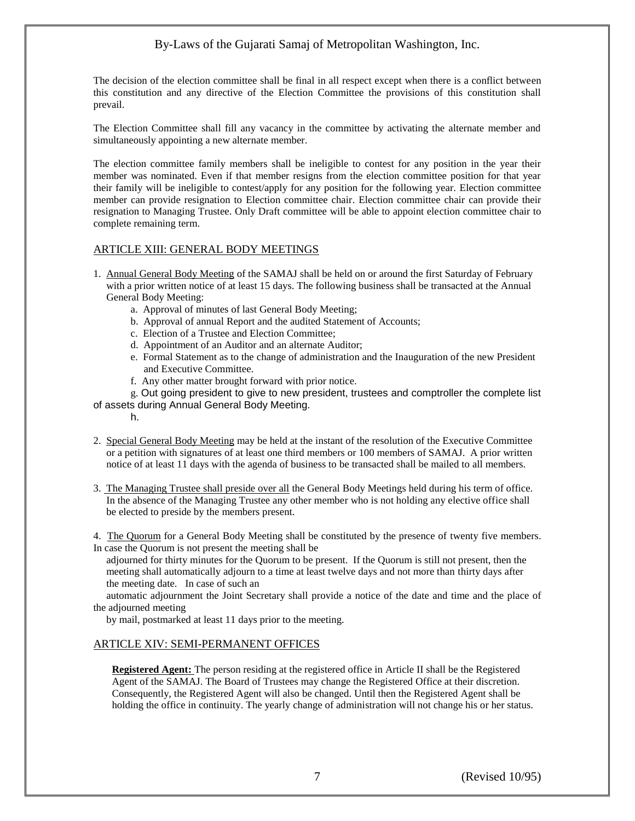The decision of the election committee shall be final in all respect except when there is a conflict between this constitution and any directive of the Election Committee the provisions of this constitution shall prevail.

The Election Committee shall fill any vacancy in the committee by activating the alternate member and simultaneously appointing a new alternate member.

The election committee family members shall be ineligible to contest for any position in the year their member was nominated. Even if that member resigns from the election committee position for that year their family will be ineligible to contest/apply for any position for the following year. Election committee member can provide resignation to Election committee chair. Election committee chair can provide their resignation to Managing Trustee. Only Draft committee will be able to appoint election committee chair to complete remaining term.

### ARTICLE XIII: GENERAL BODY MEETINGS

- 1. Annual General Body Meeting of the SAMAJ shall be held on or around the first Saturday of February with a prior written notice of at least 15 days. The following business shall be transacted at the Annual General Body Meeting:
	- a. Approval of minutes of last General Body Meeting;
	- b. Approval of annual Report and the audited Statement of Accounts;
	- c. Election of a Trustee and Election Committee;
	- d. Appointment of an Auditor and an alternate Auditor;
	- e. Formal Statement as to the change of administration and the Inauguration of the new President and Executive Committee.
	- f. Any other matter brought forward with prior notice.

g. Out going president to give to new president, trustees and comptroller the complete list of assets during Annual General Body Meeting.

- h.
- 2. Special General Body Meeting may be held at the instant of the resolution of the Executive Committee or a petition with signatures of at least one third members or 100 members of SAMAJ. A prior written notice of at least 11 days with the agenda of business to be transacted shall be mailed to all members.
- 3. The Managing Trustee shall preside over all the General Body Meetings held during his term of office. In the absence of the Managing Trustee any other member who is not holding any elective office shall be elected to preside by the members present.

4. The Quorum for a General Body Meeting shall be constituted by the presence of twenty five members. In case the Quorum is not present the meeting shall be

 adjourned for thirty minutes for the Quorum to be present. If the Quorum is still not present, then the meeting shall automatically adjourn to a time at least twelve days and not more than thirty days after the meeting date. In case of such an

 automatic adjournment the Joint Secretary shall provide a notice of the date and time and the place of the adjourned meeting

by mail, postmarked at least 11 days prior to the meeting.

# ARTICLE XIV: SEMI-PERMANENT OFFICES

**Registered Agent:** The person residing at the registered office in Article II shall be the Registered Agent of the SAMAJ. The Board of Trustees may change the Registered Office at their discretion. Consequently, the Registered Agent will also be changed. Until then the Registered Agent shall be holding the office in continuity. The yearly change of administration will not change his or her status.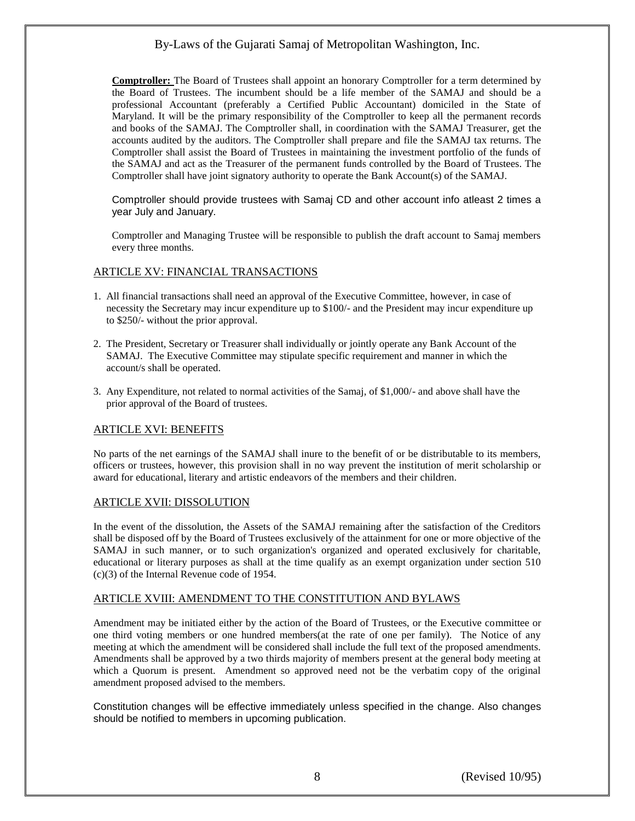**Comptroller:** The Board of Trustees shall appoint an honorary Comptroller for a term determined by the Board of Trustees. The incumbent should be a life member of the SAMAJ and should be a professional Accountant (preferably a Certified Public Accountant) domiciled in the State of Maryland. It will be the primary responsibility of the Comptroller to keep all the permanent records and books of the SAMAJ. The Comptroller shall, in coordination with the SAMAJ Treasurer, get the accounts audited by the auditors. The Comptroller shall prepare and file the SAMAJ tax returns. The Comptroller shall assist the Board of Trustees in maintaining the investment portfolio of the funds of the SAMAJ and act as the Treasurer of the permanent funds controlled by the Board of Trustees. The Comptroller shall have joint signatory authority to operate the Bank Account(s) of the SAMAJ.

Comptroller should provide trustees with Samaj CD and other account info atleast 2 times a year July and January.

Comptroller and Managing Trustee will be responsible to publish the draft account to Samaj members every three months.

### ARTICLE XV: FINANCIAL TRANSACTIONS

- 1. All financial transactions shall need an approval of the Executive Committee, however, in case of necessity the Secretary may incur expenditure up to \$100/- and the President may incur expenditure up to \$250/- without the prior approval.
- 2. The President, Secretary or Treasurer shall individually or jointly operate any Bank Account of the SAMAJ. The Executive Committee may stipulate specific requirement and manner in which the account/s shall be operated.
- 3. Any Expenditure, not related to normal activities of the Samaj, of \$1,000/- and above shall have the prior approval of the Board of trustees.

# ARTICLE XVI: BENEFITS

No parts of the net earnings of the SAMAJ shall inure to the benefit of or be distributable to its members, officers or trustees, however, this provision shall in no way prevent the institution of merit scholarship or award for educational, literary and artistic endeavors of the members and their children.

### ARTICLE XVII: DISSOLUTION

In the event of the dissolution, the Assets of the SAMAJ remaining after the satisfaction of the Creditors shall be disposed off by the Board of Trustees exclusively of the attainment for one or more objective of the SAMAJ in such manner, or to such organization's organized and operated exclusively for charitable, educational or literary purposes as shall at the time qualify as an exempt organization under section 510 (c)(3) of the Internal Revenue code of 1954.

# ARTICLE XVIII: AMENDMENT TO THE CONSTITUTION AND BYLAWS

Amendment may be initiated either by the action of the Board of Trustees, or the Executive committee or one third voting members or one hundred members(at the rate of one per family). The Notice of any meeting at which the amendment will be considered shall include the full text of the proposed amendments. Amendments shall be approved by a two thirds majority of members present at the general body meeting at which a Quorum is present. Amendment so approved need not be the verbatim copy of the original amendment proposed advised to the members.

Constitution changes will be effective immediately unless specified in the change. Also changes should be notified to members in upcoming publication.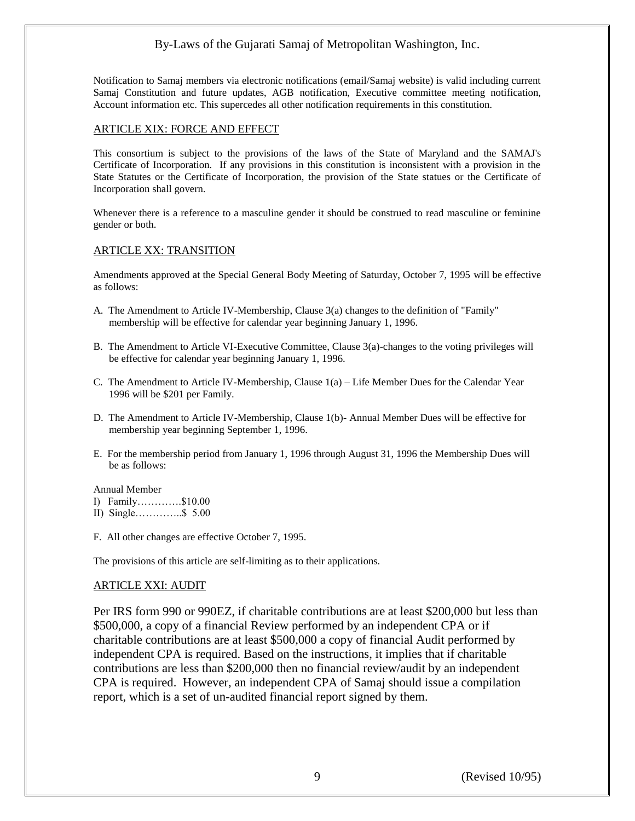Notification to Samaj members via electronic notifications (email/Samaj website) is valid including current Samaj Constitution and future updates, AGB notification, Executive committee meeting notification, Account information etc. This supercedes all other notification requirements in this constitution.

# ARTICLE XIX: FORCE AND EFFECT

This consortium is subject to the provisions of the laws of the State of Maryland and the SAMAJ's Certificate of Incorporation. If any provisions in this constitution is inconsistent with a provision in the State Statutes or the Certificate of Incorporation, the provision of the State statues or the Certificate of Incorporation shall govern.

Whenever there is a reference to a masculine gender it should be construed to read masculine or feminine gender or both.

# ARTICLE XX: TRANSITION

Amendments approved at the Special General Body Meeting of Saturday, October 7, 1995 will be effective as follows:

- A. The Amendment to Article IV-Membership, Clause 3(a) changes to the definition of "Family" membership will be effective for calendar year beginning January 1, 1996.
- B. The Amendment to Article VI-Executive Committee, Clause 3(a)-changes to the voting privileges will be effective for calendar year beginning January 1, 1996.
- C. The Amendment to Article IV-Membership, Clause 1(a) Life Member Dues for the Calendar Year 1996 will be \$201 per Family.
- D. The Amendment to Article IV-Membership, Clause 1(b)- Annual Member Dues will be effective for membership year beginning September 1, 1996.
- E. For the membership period from January 1, 1996 through August 31, 1996 the Membership Dues will be as follows:

Annual Member

- I) Family………….\$10.00
- II) Single…………..\$ 5.00
- F. All other changes are effective October 7, 1995.

The provisions of this article are self-limiting as to their applications.

### ARTICLE XXI: AUDIT

Per IRS form 990 or 990EZ, if charitable contributions are at least \$200,000 but less than \$500,000, a copy of a financial Review performed by an independent CPA or if charitable contributions are at least \$500,000 a copy of financial Audit performed by independent CPA is required. Based on the instructions, it implies that if charitable contributions are less than \$200,000 then no financial review/audit by an independent CPA is required. However, an independent CPA of Samaj should issue a compilation report, which is a set of un-audited financial report signed by them.